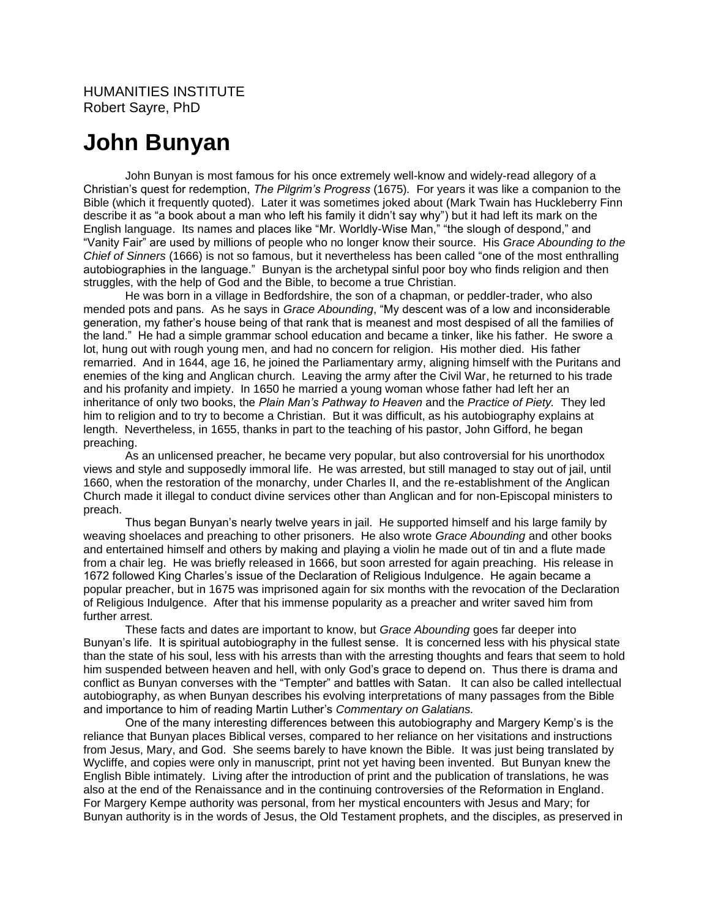## **John Bunyan**

John Bunyan is most famous for his once extremely well-know and widely-read allegory of a Christian's quest for redemption, *The Pilgrim's Progress* (1675)*.* For years it was like a companion to the Bible (which it frequently quoted). Later it was sometimes joked about (Mark Twain has Huckleberry Finn describe it as "a book about a man who left his family it didn't say why") but it had left its mark on the English language. Its names and places like "Mr. Worldly-Wise Man," "the slough of despond," and "Vanity Fair" are used by millions of people who no longer know their source. His *Grace Abounding to the Chief of Sinners* (1666) is not so famous, but it nevertheless has been called "one of the most enthralling autobiographies in the language." Bunyan is the archetypal sinful poor boy who finds religion and then struggles, with the help of God and the Bible, to become a true Christian.

He was born in a village in Bedfordshire, the son of a chapman, or peddler-trader, who also mended pots and pans. As he says in *Grace Abounding*, "My descent was of a low and inconsiderable generation, my father's house being of that rank that is meanest and most despised of all the families of the land." He had a simple grammar school education and became a tinker, like his father. He swore a lot, hung out with rough young men, and had no concern for religion. His mother died. His father remarried. And in 1644, age 16, he joined the Parliamentary army, aligning himself with the Puritans and enemies of the king and Anglican church. Leaving the army after the Civil War, he returned to his trade and his profanity and impiety. In 1650 he married a young woman whose father had left her an inheritance of only two books, the *Plain Man's Pathway to Heaven* and the *Practice of Piety.* They led him to religion and to try to become a Christian. But it was difficult, as his autobiography explains at length. Nevertheless, in 1655, thanks in part to the teaching of his pastor, John Gifford, he began preaching.

As an unlicensed preacher, he became very popular, but also controversial for his unorthodox views and style and supposedly immoral life. He was arrested, but still managed to stay out of jail, until 1660, when the restoration of the monarchy, under Charles II, and the re-establishment of the Anglican Church made it illegal to conduct divine services other than Anglican and for non-Episcopal ministers to preach.

Thus began Bunyan's nearly twelve years in jail. He supported himself and his large family by weaving shoelaces and preaching to other prisoners. He also wrote *Grace Abounding* and other books and entertained himself and others by making and playing a violin he made out of tin and a flute made from a chair leg. He was briefly released in 1666, but soon arrested for again preaching. His release in 1672 followed King Charles's issue of the Declaration of Religious Indulgence. He again became a popular preacher, but in 1675 was imprisoned again for six months with the revocation of the Declaration of Religious Indulgence. After that his immense popularity as a preacher and writer saved him from further arrest.

These facts and dates are important to know, but *Grace Abounding* goes far deeper into Bunyan's life. It is spiritual autobiography in the fullest sense. It is concerned less with his physical state than the state of his soul, less with his arrests than with the arresting thoughts and fears that seem to hold him suspended between heaven and hell, with only God's grace to depend on. Thus there is drama and conflict as Bunyan converses with the "Tempter" and battles with Satan. It can also be called intellectual autobiography, as when Bunyan describes his evolving interpretations of many passages from the Bible and importance to him of reading Martin Luther's *Commentary on Galatians.* 

One of the many interesting differences between this autobiography and Margery Kemp's is the reliance that Bunyan places Biblical verses, compared to her reliance on her visitations and instructions from Jesus, Mary, and God. She seems barely to have known the Bible. It was just being translated by Wycliffe, and copies were only in manuscript, print not yet having been invented. But Bunyan knew the English Bible intimately. Living after the introduction of print and the publication of translations, he was also at the end of the Renaissance and in the continuing controversies of the Reformation in England. For Margery Kempe authority was personal, from her mystical encounters with Jesus and Mary; for Bunyan authority is in the words of Jesus, the Old Testament prophets, and the disciples, as preserved in